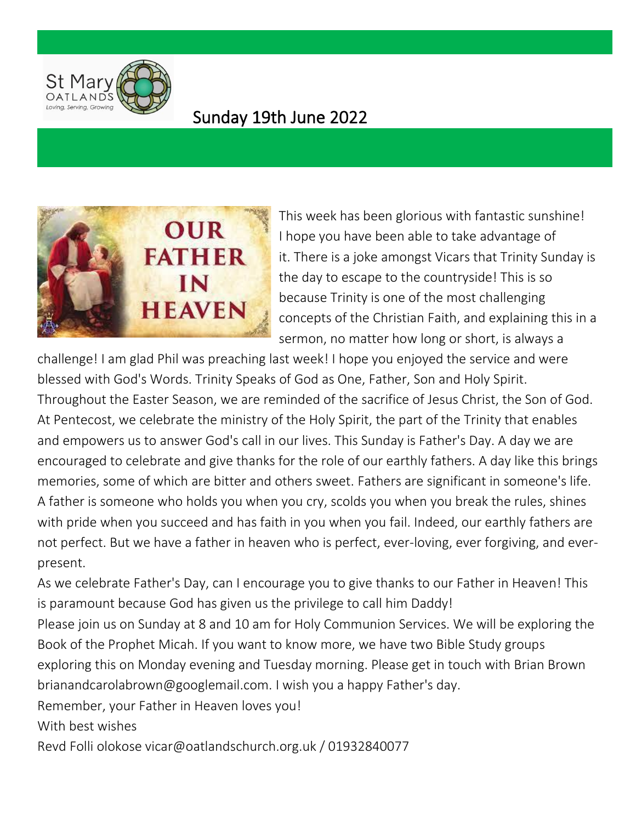

## Sunday 19th June 2022



This week has been glorious with fantastic sunshine! I hope you have been able to take advantage of it. There is a joke amongst Vicars that Trinity Sunday is the day to escape to the countryside! This is so because Trinity is one of the most challenging concepts of the Christian Faith, and explaining this in a sermon, no matter how long or short, is always a

challenge! I am glad Phil was preaching last week! I hope you enjoyed the service and were blessed with God's Words. Trinity Speaks of God as One, Father, Son and Holy Spirit. Throughout the Easter Season, we are reminded of the sacrifice of Jesus Christ, the Son of God. At Pentecost, we celebrate the ministry of the Holy Spirit, the part of the Trinity that enables and empowers us to answer God's call in our lives. This Sunday is Father's Day. A day we are encouraged to celebrate and give thanks for the role of our earthly fathers. A day like this brings memories, some of which are bitter and others sweet. Fathers are significant in someone's life. A father is someone who holds you when you cry, scolds you when you break the rules, shines with pride when you succeed and has faith in you when you fail. Indeed, our earthly fathers are not perfect. But we have a father in heaven who is perfect, ever-loving, ever forgiving, and everpresent.

As we celebrate Father's Day, can I encourage you to give thanks to our Father in Heaven! This is paramount because God has given us the privilege to call him Daddy!

Please join us on Sunday at 8 and 10 am for Holy Communion Services. We will be exploring the Book of the Prophet Micah. If you want to know more, we have two Bible Study groups exploring this on Monday evening and Tuesday morning. Please get in touch with Brian Brown brianandcarolabrown@googlemail.com. I wish you a happy Father's day.

Remember, your Father in Heaven loves you!

With best wishes

Revd Folli olokose vicar@oatlandschurch.org.uk / 01932840077